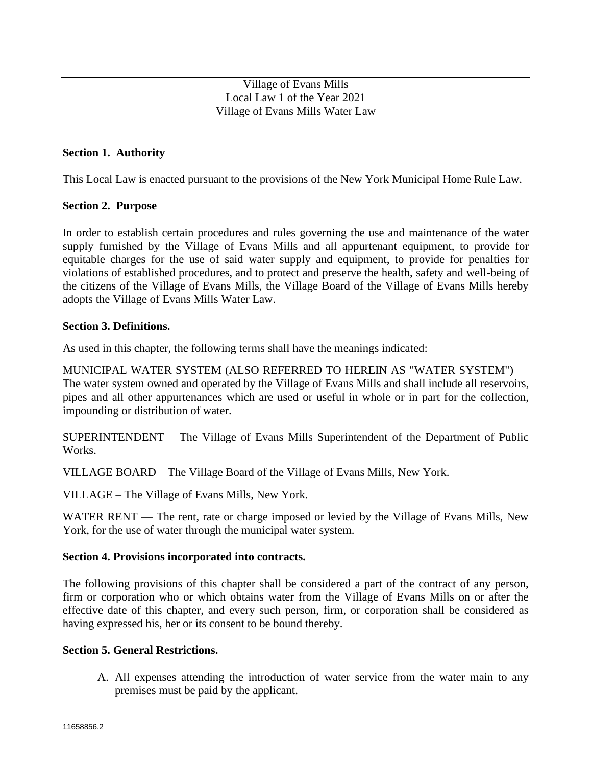# **Section 1. Authority**

This Local Law is enacted pursuant to the provisions of the New York Municipal Home Rule Law.

## **Section 2. Purpose**

In order to establish certain procedures and rules governing the use and maintenance of the water supply furnished by the Village of Evans Mills and all appurtenant equipment, to provide for equitable charges for the use of said water supply and equipment, to provide for penalties for violations of established procedures, and to protect and preserve the health, safety and well-being of the citizens of the Village of Evans Mills, the Village Board of the Village of Evans Mills hereby adopts the Village of Evans Mills Water Law.

## **Section 3. Definitions.**

As used in this chapter, the following terms shall have the meanings indicated:

MUNICIPAL WATER SYSTEM (ALSO REFERRED TO HEREIN AS "WATER SYSTEM") — The water system owned and operated by the Village of Evans Mills and shall include all reservoirs, pipes and all other appurtenances which are used or useful in whole or in part for the collection, impounding or distribution of water.

SUPERINTENDENT – The Village of Evans Mills Superintendent of the Department of Public Works.

VILLAGE BOARD – The Village Board of the Village of Evans Mills, New York.

VILLAGE – The Village of Evans Mills, New York.

WATER RENT — The rent, rate or charge imposed or levied by the Village of Evans Mills, New York, for the use of water through the municipal water system.

## **Section 4. Provisions incorporated into contracts.**

The following provisions of this chapter shall be considered a part of the contract of any person, firm or corporation who or which obtains water from the Village of Evans Mills on or after the effective date of this chapter, and every such person, firm, or corporation shall be considered as having expressed his, her or its consent to be bound thereby.

## **Section 5. General Restrictions.**

A. All expenses attending the introduction of water service from the water main to any premises must be paid by the applicant.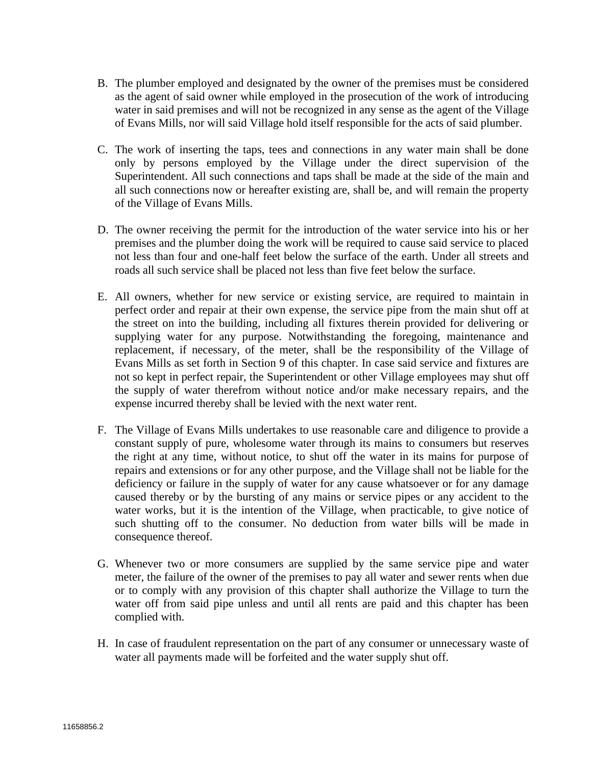- B. The plumber employed and designated by the owner of the premises must be considered as the agent of said owner while employed in the prosecution of the work of introducing water in said premises and will not be recognized in any sense as the agent of the Village of Evans Mills, nor will said Village hold itself responsible for the acts of said plumber.
- C. The work of inserting the taps, tees and connections in any water main shall be done only by persons employed by the Village under the direct supervision of the Superintendent. All such connections and taps shall be made at the side of the main and all such connections now or hereafter existing are, shall be, and will remain the property of the Village of Evans Mills.
- D. The owner receiving the permit for the introduction of the water service into his or her premises and the plumber doing the work will be required to cause said service to placed not less than four and one-half feet below the surface of the earth. Under all streets and roads all such service shall be placed not less than five feet below the surface.
- E. All owners, whether for new service or existing service, are required to maintain in perfect order and repair at their own expense, the service pipe from the main shut off at the street on into the building, including all fixtures therein provided for delivering or supplying water for any purpose. Notwithstanding the foregoing, maintenance and replacement, if necessary, of the meter, shall be the responsibility of the Village of Evans Mills as set forth in Section 9 of this chapter. In case said service and fixtures are not so kept in perfect repair, the Superintendent or other Village employees may shut off the supply of water therefrom without notice and/or make necessary repairs, and the expense incurred thereby shall be levied with the next water rent.
- F. The Village of Evans Mills undertakes to use reasonable care and diligence to provide a constant supply of pure, wholesome water through its mains to consumers but reserves the right at any time, without notice, to shut off the water in its mains for purpose of repairs and extensions or for any other purpose, and the Village shall not be liable for the deficiency or failure in the supply of water for any cause whatsoever or for any damage caused thereby or by the bursting of any mains or service pipes or any accident to the water works, but it is the intention of the Village, when practicable, to give notice of such shutting off to the consumer. No deduction from water bills will be made in consequence thereof.
- G. Whenever two or more consumers are supplied by the same service pipe and water meter, the failure of the owner of the premises to pay all water and sewer rents when due or to comply with any provision of this chapter shall authorize the Village to turn the water off from said pipe unless and until all rents are paid and this chapter has been complied with.
- H. In case of fraudulent representation on the part of any consumer or unnecessary waste of water all payments made will be forfeited and the water supply shut off.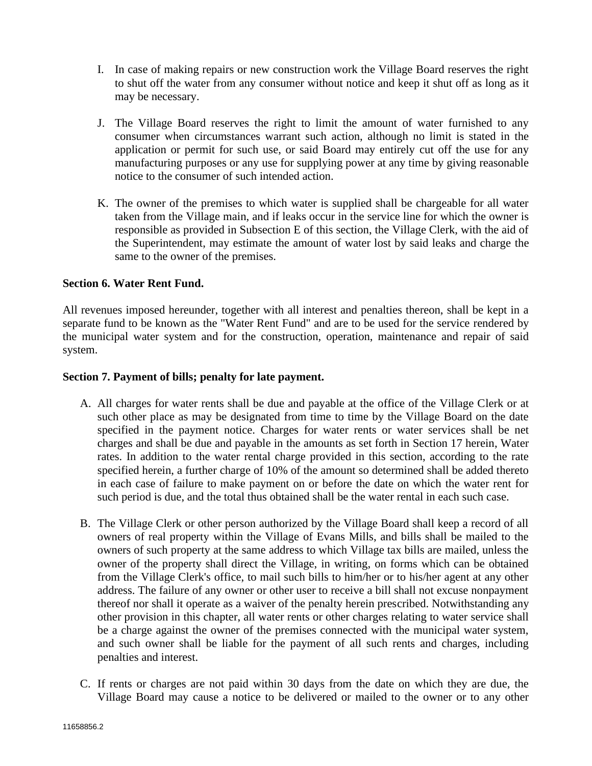- I. In case of making repairs or new construction work the Village Board reserves the right to shut off the water from any consumer without notice and keep it shut off as long as it may be necessary.
- J. The Village Board reserves the right to limit the amount of water furnished to any consumer when circumstances warrant such action, although no limit is stated in the application or permit for such use, or said Board may entirely cut off the use for any manufacturing purposes or any use for supplying power at any time by giving reasonable notice to the consumer of such intended action.
- K. The owner of the premises to which water is supplied shall be chargeable for all water taken from the Village main, and if leaks occur in the service line for which the owner is responsible as provided in Subsection E of this section, the Village Clerk, with the aid of the Superintendent, may estimate the amount of water lost by said leaks and charge the same to the owner of the premises.

## **Section 6. Water Rent Fund.**

All revenues imposed hereunder, together with all interest and penalties thereon, shall be kept in a separate fund to be known as the "Water Rent Fund" and are to be used for the service rendered by the municipal water system and for the construction, operation, maintenance and repair of said system.

## **Section 7. Payment of bills; penalty for late payment.**

- A. All charges for water rents shall be due and payable at the office of the Village Clerk or at such other place as may be designated from time to time by the Village Board on the date specified in the payment notice. Charges for water rents or water services shall be net charges and shall be due and payable in the amounts as set forth in Section 17 herein, Water rates. In addition to the water rental charge provided in this section, according to the rate specified herein, a further charge of 10% of the amount so determined shall be added thereto in each case of failure to make payment on or before the date on which the water rent for such period is due, and the total thus obtained shall be the water rental in each such case.
- B. The Village Clerk or other person authorized by the Village Board shall keep a record of all owners of real property within the Village of Evans Mills, and bills shall be mailed to the owners of such property at the same address to which Village tax bills are mailed, unless the owner of the property shall direct the Village, in writing, on forms which can be obtained from the Village Clerk's office, to mail such bills to him/her or to his/her agent at any other address. The failure of any owner or other user to receive a bill shall not excuse nonpayment thereof nor shall it operate as a waiver of the penalty herein prescribed. Notwithstanding any other provision in this chapter, all water rents or other charges relating to water service shall be a charge against the owner of the premises connected with the municipal water system, and such owner shall be liable for the payment of all such rents and charges, including penalties and interest.
- C. If rents or charges are not paid within 30 days from the date on which they are due, the Village Board may cause a notice to be delivered or mailed to the owner or to any other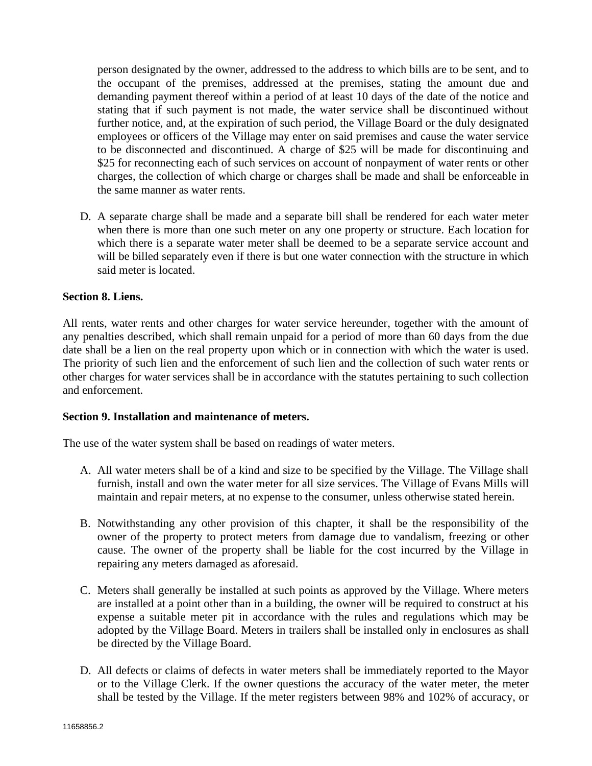person designated by the owner, addressed to the address to which bills are to be sent, and to the occupant of the premises, addressed at the premises, stating the amount due and demanding payment thereof within a period of at least 10 days of the date of the notice and stating that if such payment is not made, the water service shall be discontinued without further notice, and, at the expiration of such period, the Village Board or the duly designated employees or officers of the Village may enter on said premises and cause the water service to be disconnected and discontinued. A charge of \$25 will be made for discontinuing and \$25 for reconnecting each of such services on account of nonpayment of water rents or other charges, the collection of which charge or charges shall be made and shall be enforceable in the same manner as water rents.

D. A separate charge shall be made and a separate bill shall be rendered for each water meter when there is more than one such meter on any one property or structure. Each location for which there is a separate water meter shall be deemed to be a separate service account and will be billed separately even if there is but one water connection with the structure in which said meter is located.

## **Section 8. Liens.**

All rents, water rents and other charges for water service hereunder, together with the amount of any penalties described, which shall remain unpaid for a period of more than 60 days from the due date shall be a lien on the real property upon which or in connection with which the water is used. The priority of such lien and the enforcement of such lien and the collection of such water rents or other charges for water services shall be in accordance with the statutes pertaining to such collection and enforcement.

## **Section 9. Installation and maintenance of meters.**

The use of the water system shall be based on readings of water meters.

- A. All water meters shall be of a kind and size to be specified by the Village. The Village shall furnish, install and own the water meter for all size services. The Village of Evans Mills will maintain and repair meters, at no expense to the consumer, unless otherwise stated herein.
- B. Notwithstanding any other provision of this chapter, it shall be the responsibility of the owner of the property to protect meters from damage due to vandalism, freezing or other cause. The owner of the property shall be liable for the cost incurred by the Village in repairing any meters damaged as aforesaid.
- C. Meters shall generally be installed at such points as approved by the Village. Where meters are installed at a point other than in a building, the owner will be required to construct at his expense a suitable meter pit in accordance with the rules and regulations which may be adopted by the Village Board. Meters in trailers shall be installed only in enclosures as shall be directed by the Village Board.
- D. All defects or claims of defects in water meters shall be immediately reported to the Mayor or to the Village Clerk. If the owner questions the accuracy of the water meter, the meter shall be tested by the Village. If the meter registers between 98% and 102% of accuracy, or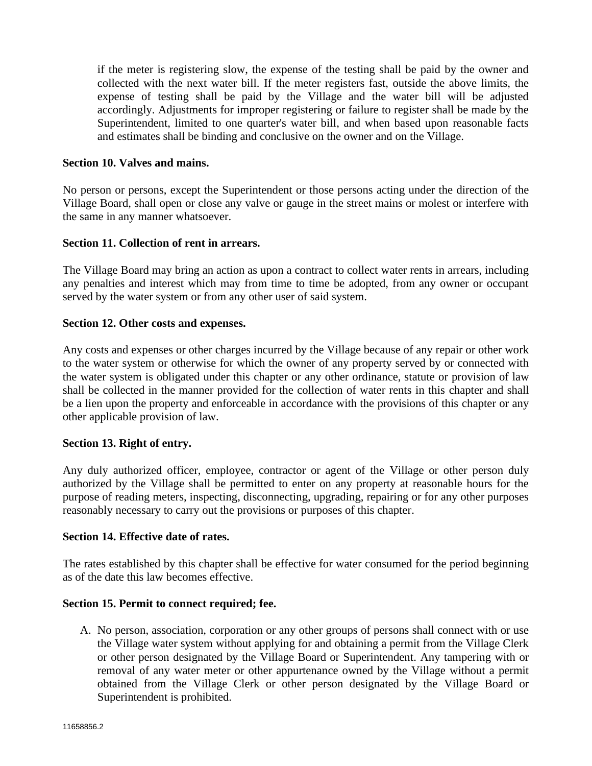if the meter is registering slow, the expense of the testing shall be paid by the owner and collected with the next water bill. If the meter registers fast, outside the above limits, the expense of testing shall be paid by the Village and the water bill will be adjusted accordingly. Adjustments for improper registering or failure to register shall be made by the Superintendent, limited to one quarter's water bill, and when based upon reasonable facts and estimates shall be binding and conclusive on the owner and on the Village.

#### **Section 10. Valves and mains.**

No person or persons, except the Superintendent or those persons acting under the direction of the Village Board, shall open or close any valve or gauge in the street mains or molest or interfere with the same in any manner whatsoever.

#### **Section 11. Collection of rent in arrears.**

The Village Board may bring an action as upon a contract to collect water rents in arrears, including any penalties and interest which may from time to time be adopted, from any owner or occupant served by the water system or from any other user of said system.

#### **Section 12. Other costs and expenses.**

Any costs and expenses or other charges incurred by the Village because of any repair or other work to the water system or otherwise for which the owner of any property served by or connected with the water system is obligated under this chapter or any other ordinance, statute or provision of law shall be collected in the manner provided for the collection of water rents in this chapter and shall be a lien upon the property and enforceable in accordance with the provisions of this chapter or any other applicable provision of law.

## **Section 13. Right of entry.**

Any duly authorized officer, employee, contractor or agent of the Village or other person duly authorized by the Village shall be permitted to enter on any property at reasonable hours for the purpose of reading meters, inspecting, disconnecting, upgrading, repairing or for any other purposes reasonably necessary to carry out the provisions or purposes of this chapter.

#### **Section 14. Effective date of rates.**

The rates established by this chapter shall be effective for water consumed for the period beginning as of the date this law becomes effective.

#### **Section 15. Permit to connect required; fee.**

A. No person, association, corporation or any other groups of persons shall connect with or use the Village water system without applying for and obtaining a permit from the Village Clerk or other person designated by the Village Board or Superintendent. Any tampering with or removal of any water meter or other appurtenance owned by the Village without a permit obtained from the Village Clerk or other person designated by the Village Board or Superintendent is prohibited.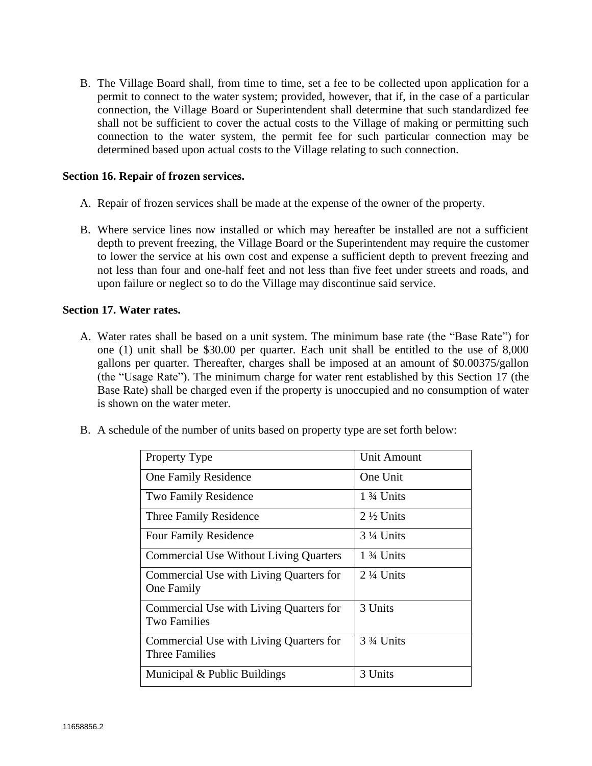B. The Village Board shall, from time to time, set a fee to be collected upon application for a permit to connect to the water system; provided, however, that if, in the case of a particular connection, the Village Board or Superintendent shall determine that such standardized fee shall not be sufficient to cover the actual costs to the Village of making or permitting such connection to the water system, the permit fee for such particular connection may be determined based upon actual costs to the Village relating to such connection.

#### **Section 16. Repair of frozen services.**

- A. Repair of frozen services shall be made at the expense of the owner of the property.
- B. Where service lines now installed or which may hereafter be installed are not a sufficient depth to prevent freezing, the Village Board or the Superintendent may require the customer to lower the service at his own cost and expense a sufficient depth to prevent freezing and not less than four and one-half feet and not less than five feet under streets and roads, and upon failure or neglect so to do the Village may discontinue said service.

#### **Section 17. Water rates.**

- A. Water rates shall be based on a unit system. The minimum base rate (the "Base Rate") for one (1) unit shall be \$30.00 per quarter. Each unit shall be entitled to the use of 8,000 gallons per quarter. Thereafter, charges shall be imposed at an amount of \$0.00375/gallon (the "Usage Rate"). The minimum charge for water rent established by this Section 17 (the Base Rate) shall be charged even if the property is unoccupied and no consumption of water is shown on the water meter.
- B. A schedule of the number of units based on property type are set forth below:

| <b>Property Type</b>                                             | <b>Unit Amount</b>                  |
|------------------------------------------------------------------|-------------------------------------|
| One Family Residence                                             | One Unit                            |
| Two Family Residence                                             | $1\frac{3}{4}$ Units                |
| Three Family Residence                                           | $2\frac{1}{2}$ Units                |
| <b>Four Family Residence</b>                                     | $3\frac{1}{4}$ Units                |
| <b>Commercial Use Without Living Quarters</b>                    | $1\frac{3}{4}$ Units                |
| Commercial Use with Living Quarters for<br>One Family            | $2\frac{1}{4}$ Units                |
| Commercial Use with Living Quarters for<br><b>Two Families</b>   | 3 Units                             |
| Commercial Use with Living Quarters for<br><b>Three Families</b> | 3 <sup>3</sup> / <sub>4</sub> Units |
| Municipal & Public Buildings                                     | 3 Units                             |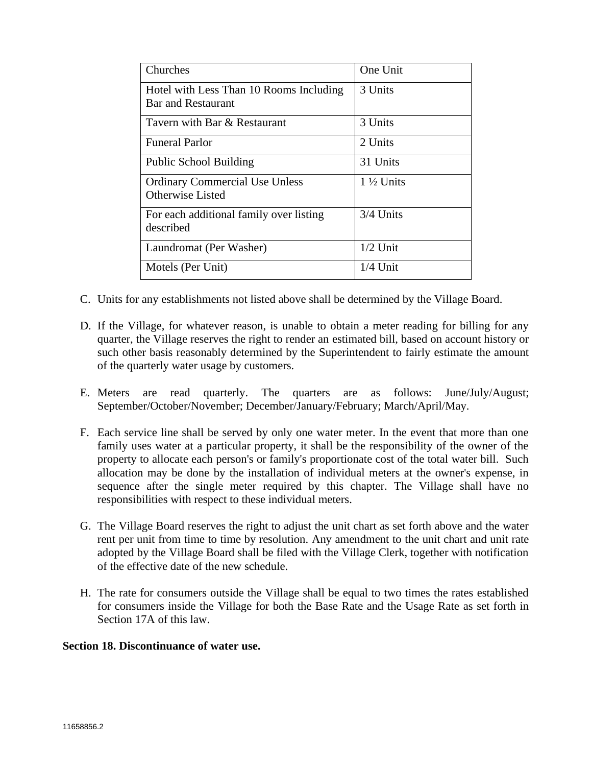| Churches                                                      | One Unit             |
|---------------------------------------------------------------|----------------------|
| Hotel with Less Than 10 Rooms Including<br>Bar and Restaurant | 3 Units              |
| Tavern with Bar & Restaurant                                  | 3 Units              |
| <b>Funeral Parlor</b>                                         | 2 Units              |
| <b>Public School Building</b>                                 | 31 Units             |
| <b>Ordinary Commercial Use Unless</b><br>Otherwise Listed     | $1\frac{1}{2}$ Units |
| For each additional family over listing<br>described          | 3/4 Units            |
| Laundromat (Per Washer)                                       | $1/2$ Unit           |
| Motels (Per Unit)                                             | $1/4$ Unit           |

- C. Units for any establishments not listed above shall be determined by the Village Board.
- D. If the Village, for whatever reason, is unable to obtain a meter reading for billing for any quarter, the Village reserves the right to render an estimated bill, based on account history or such other basis reasonably determined by the Superintendent to fairly estimate the amount of the quarterly water usage by customers.
- E. Meters are read quarterly. The quarters are as follows: June/July/August; September/October/November; December/January/February; March/April/May.
- F. Each service line shall be served by only one water meter. In the event that more than one family uses water at a particular property, it shall be the responsibility of the owner of the property to allocate each person's or family's proportionate cost of the total water bill. Such allocation may be done by the installation of individual meters at the owner's expense, in sequence after the single meter required by this chapter. The Village shall have no responsibilities with respect to these individual meters.
- G. The Village Board reserves the right to adjust the unit chart as set forth above and the water rent per unit from time to time by resolution. Any amendment to the unit chart and unit rate adopted by the Village Board shall be filed with the Village Clerk, together with notification of the effective date of the new schedule.
- H. The rate for consumers outside the Village shall be equal to two times the rates established for consumers inside the Village for both the Base Rate and the Usage Rate as set forth in Section 17A of this law.

## **Section 18. Discontinuance of water use.**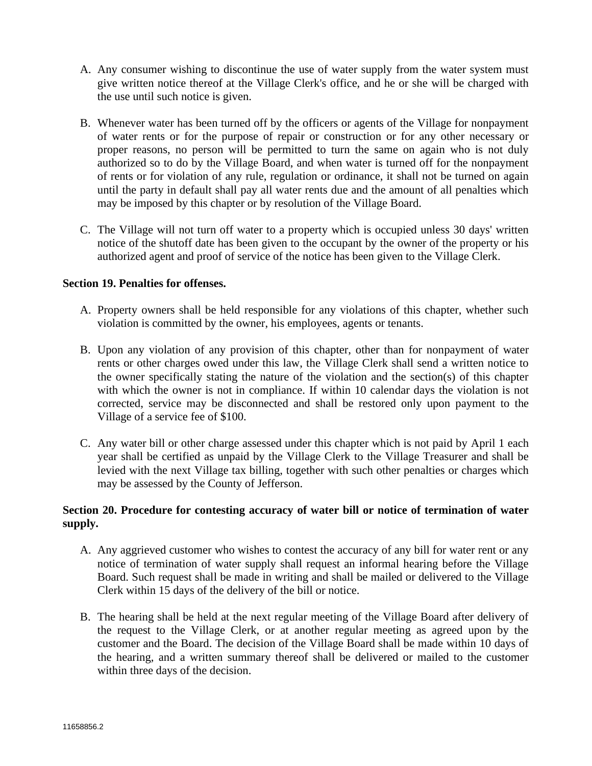- A. Any consumer wishing to discontinue the use of water supply from the water system must give written notice thereof at the Village Clerk's office, and he or she will be charged with the use until such notice is given.
- B. Whenever water has been turned off by the officers or agents of the Village for nonpayment of water rents or for the purpose of repair or construction or for any other necessary or proper reasons, no person will be permitted to turn the same on again who is not duly authorized so to do by the Village Board, and when water is turned off for the nonpayment of rents or for violation of any rule, regulation or ordinance, it shall not be turned on again until the party in default shall pay all water rents due and the amount of all penalties which may be imposed by this chapter or by resolution of the Village Board.
- C. The Village will not turn off water to a property which is occupied unless 30 days' written notice of the shutoff date has been given to the occupant by the owner of the property or his authorized agent and proof of service of the notice has been given to the Village Clerk.

## **Section 19. Penalties for offenses.**

- A. Property owners shall be held responsible for any violations of this chapter, whether such violation is committed by the owner, his employees, agents or tenants.
- B. Upon any violation of any provision of this chapter, other than for nonpayment of water rents or other charges owed under this law, the Village Clerk shall send a written notice to the owner specifically stating the nature of the violation and the section(s) of this chapter with which the owner is not in compliance. If within 10 calendar days the violation is not corrected, service may be disconnected and shall be restored only upon payment to the Village of a service fee of \$100.
- C. Any water bill or other charge assessed under this chapter which is not paid by April 1 each year shall be certified as unpaid by the Village Clerk to the Village Treasurer and shall be levied with the next Village tax billing, together with such other penalties or charges which may be assessed by the County of Jefferson.

# **Section 20. Procedure for contesting accuracy of water bill or notice of termination of water supply.**

- A. Any aggrieved customer who wishes to contest the accuracy of any bill for water rent or any notice of termination of water supply shall request an informal hearing before the Village Board. Such request shall be made in writing and shall be mailed or delivered to the Village Clerk within 15 days of the delivery of the bill or notice.
- B. The hearing shall be held at the next regular meeting of the Village Board after delivery of the request to the Village Clerk, or at another regular meeting as agreed upon by the customer and the Board. The decision of the Village Board shall be made within 10 days of the hearing, and a written summary thereof shall be delivered or mailed to the customer within three days of the decision.